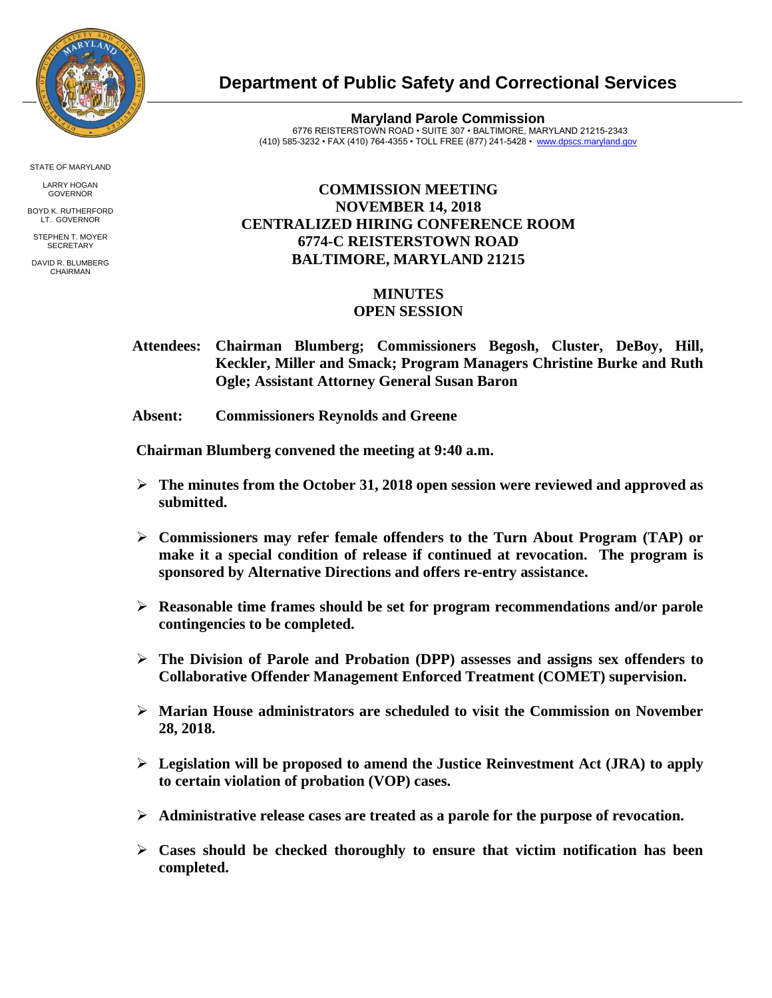

STATE OF MARYLAND

LARRY HOGAN GOVERNOR

BOYD K. RUTHERFORD LT. GOVERNOR STEPHEN T. MOYER

**SECRETARY** 

DAVID R. BLUMBERG CHAIRMAN

## **Department of Public Safety and Correctional Services**

**Maryland Parole Commission** 6776 REISTERSTOWN ROAD • SUITE 307 • BALTIMORE, MARYLAND 21215-2343 (410) 585-3232 • FAX (410) 764-4355 • TOLL FREE (877) 241-5428 • [www.dpscs.maryland.gov](http://www.dpscs.maryland.gov/) 

## **COMMISSION MEETING NOVEMBER 14, 2018 CENTRALIZED HIRING CONFERENCE ROOM 6774-C REISTERSTOWN ROAD BALTIMORE, MARYLAND 21215**

## **MINUTES OPEN SESSION**

- **Attendees: Chairman Blumberg; Commissioners Begosh, Cluster, DeBoy, Hill, Keckler, Miller and Smack; Program Managers Christine Burke and Ruth Ogle; Assistant Attorney General Susan Baron**
- **Absent: Commissioners Reynolds and Greene**

 **Chairman Blumberg convened the meeting at 9:40 a.m.**

- **The minutes from the October 31, 2018 open session were reviewed and approved as submitted.**
- **Commissioners may refer female offenders to the Turn About Program (TAP) or make it a special condition of release if continued at revocation. The program is sponsored by Alternative Directions and offers re-entry assistance.**
- **Reasonable time frames should be set for program recommendations and/or parole contingencies to be completed.**
- **The Division of Parole and Probation (DPP) assesses and assigns sex offenders to Collaborative Offender Management Enforced Treatment (COMET) supervision.**
- **Marian House administrators are scheduled to visit the Commission on November 28, 2018.**
- **Legislation will be proposed to amend the Justice Reinvestment Act (JRA) to apply to certain violation of probation (VOP) cases.**
- **Administrative release cases are treated as a parole for the purpose of revocation.**
- **Cases should be checked thoroughly to ensure that victim notification has been completed.**